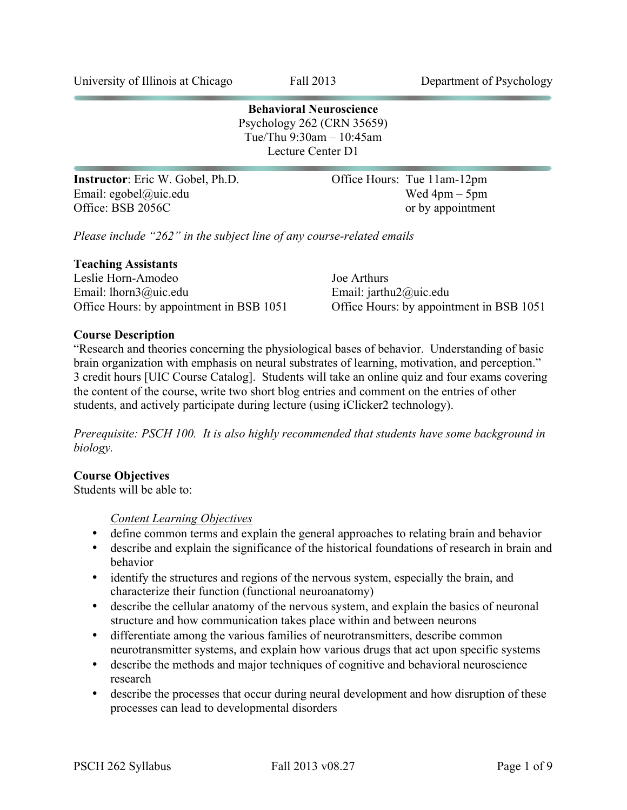**Behavioral Neuroscience** Psychology 262 (CRN 35659) Tue/Thu 9:30am – 10:45am Lecture Center D1

**Instructor**: Eric W. Gobel, Ph.D. **Office Hours: Tue 11am-12pm** Email: egobel@uic.edu Wed 4pm – 5pm<br>Office: BSB 2056C or by appointment

or by appointment

*Please include "262" in the subject line of any course-related emails*

#### **Teaching Assistants**

Leslie Horn-Amodeo Joe Arthurs Email: lhorn3@uic.edu Email: jarthu2@uic.edu Office Hours: by appointment in BSB 1051 Office Hours: by appointment in BSB 1051

## **Course Description**

"Research and theories concerning the physiological bases of behavior. Understanding of basic brain organization with emphasis on neural substrates of learning, motivation, and perception." 3 credit hours [UIC Course Catalog]. Students will take an online quiz and four exams covering the content of the course, write two short blog entries and comment on the entries of other students, and actively participate during lecture (using iClicker2 technology).

*Prerequisite: PSCH 100. It is also highly recommended that students have some background in biology.*

## **Course Objectives**

Students will be able to:

*Content Learning Objectives*

- define common terms and explain the general approaches to relating brain and behavior
- describe and explain the significance of the historical foundations of research in brain and behavior
- identify the structures and regions of the nervous system, especially the brain, and characterize their function (functional neuroanatomy)
- describe the cellular anatomy of the nervous system, and explain the basics of neuronal structure and how communication takes place within and between neurons
- differentiate among the various families of neurotransmitters, describe common neurotransmitter systems, and explain how various drugs that act upon specific systems
- describe the methods and major techniques of cognitive and behavioral neuroscience research
- describe the processes that occur during neural development and how disruption of these processes can lead to developmental disorders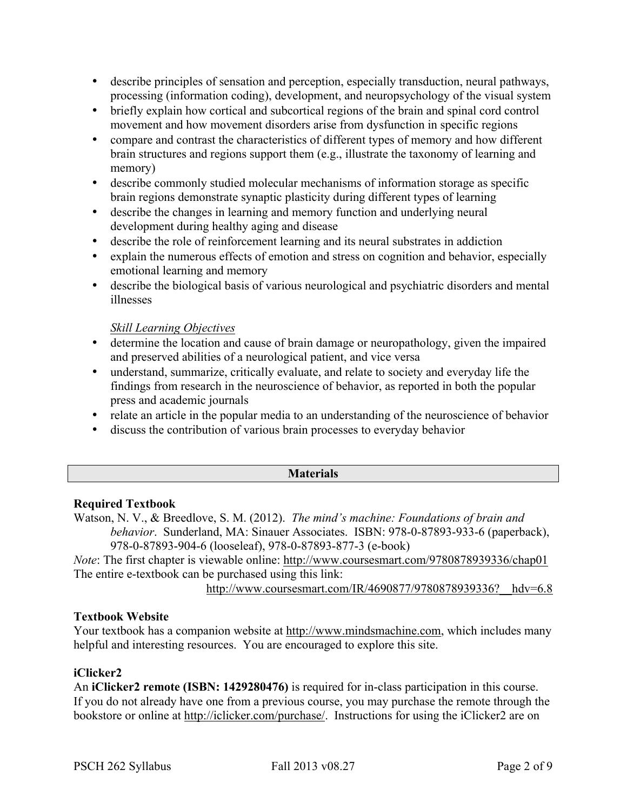- describe principles of sensation and perception, especially transduction, neural pathways, processing (information coding), development, and neuropsychology of the visual system
- briefly explain how cortical and subcortical regions of the brain and spinal cord control movement and how movement disorders arise from dysfunction in specific regions
- compare and contrast the characteristics of different types of memory and how different brain structures and regions support them (e.g., illustrate the taxonomy of learning and memory)
- describe commonly studied molecular mechanisms of information storage as specific brain regions demonstrate synaptic plasticity during different types of learning
- describe the changes in learning and memory function and underlying neural development during healthy aging and disease
- describe the role of reinforcement learning and its neural substrates in addiction
- explain the numerous effects of emotion and stress on cognition and behavior, especially emotional learning and memory
- describe the biological basis of various neurological and psychiatric disorders and mental illnesses

## *Skill Learning Objectives*

- determine the location and cause of brain damage or neuropathology, given the impaired and preserved abilities of a neurological patient, and vice versa
- understand, summarize, critically evaluate, and relate to society and everyday life the findings from research in the neuroscience of behavior, as reported in both the popular press and academic journals
- relate an article in the popular media to an understanding of the neuroscience of behavior
- discuss the contribution of various brain processes to everyday behavior

## **Materials**

## **Required Textbook**

Watson, N. V., & Breedlove, S. M. (2012). *The mind's machine: Foundations of brain and behavior*. Sunderland, MA: Sinauer Associates. ISBN: 978-0-87893-933-6 (paperback), 978-0-87893-904-6 (looseleaf), 978-0-87893-877-3 (e-book)

*Note*: The first chapter is viewable online: http://www.coursesmart.com/9780878939336/chap01 The entire e-textbook can be purchased using this link:

http://www.coursesmart.com/IR/4690877/9780878939336? hdv=6.8

## **Textbook Website**

Your textbook has a companion website at http://www.mindsmachine.com, which includes many helpful and interesting resources. You are encouraged to explore this site.

## **iClicker2**

An **iClicker2 remote (ISBN: 1429280476)** is required for in-class participation in this course. If you do not already have one from a previous course, you may purchase the remote through the bookstore or online at http://iclicker.com/purchase/. Instructions for using the iClicker2 are on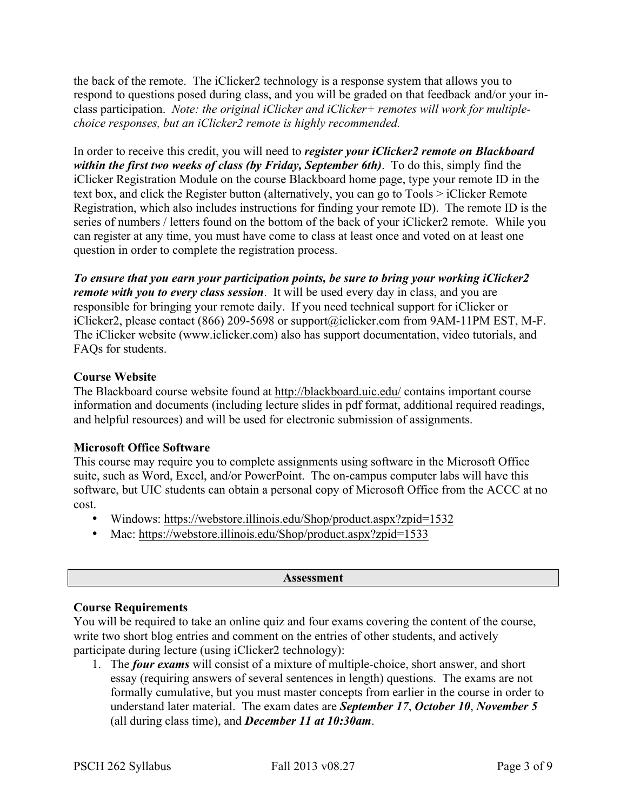the back of the remote. The iClicker2 technology is a response system that allows you to respond to questions posed during class, and you will be graded on that feedback and/or your inclass participation. *Note: the original iClicker and iClicker+ remotes will work for multiplechoice responses, but an iClicker2 remote is highly recommended.*

In order to receive this credit, you will need to *register your iClicker2 remote on Blackboard within the first two weeks of class (by Friday, September 6th)*. To do this, simply find the iClicker Registration Module on the course Blackboard home page, type your remote ID in the text box, and click the Register button (alternatively, you can go to Tools > iClicker Remote Registration, which also includes instructions for finding your remote ID). The remote ID is the series of numbers / letters found on the bottom of the back of your iClicker2 remote. While you can register at any time, you must have come to class at least once and voted on at least one question in order to complete the registration process.

*To ensure that you earn your participation points, be sure to bring your working iClicker2 remote with you to every class session*. It will be used every day in class, and you are responsible for bringing your remote daily. If you need technical support for iClicker or iClicker2, please contact (866) 209-5698 or support@iclicker.com from 9AM-11PM EST, M-F. The iClicker website (www.iclicker.com) also has support documentation, video tutorials, and FAQs for students.

## **Course Website**

The Blackboard course website found at http://blackboard.uic.edu/ contains important course information and documents (including lecture slides in pdf format, additional required readings, and helpful resources) and will be used for electronic submission of assignments.

## **Microsoft Office Software**

This course may require you to complete assignments using software in the Microsoft Office suite, such as Word, Excel, and/or PowerPoint. The on-campus computer labs will have this software, but UIC students can obtain a personal copy of Microsoft Office from the ACCC at no cost.

- Windows: https://webstore.illinois.edu/Shop/product.aspx?zpid=1532
- Mac: https://webstore.illinois.edu/Shop/product.aspx?zpid=1533

#### **Assessment**

## **Course Requirements**

You will be required to take an online quiz and four exams covering the content of the course, write two short blog entries and comment on the entries of other students, and actively participate during lecture (using iClicker2 technology):

1. The *four exams* will consist of a mixture of multiple-choice, short answer, and short essay (requiring answers of several sentences in length) questions. The exams are not formally cumulative, but you must master concepts from earlier in the course in order to understand later material. The exam dates are *September 17*, *October 10*, *November 5* (all during class time), and *December 11 at 10:30am*.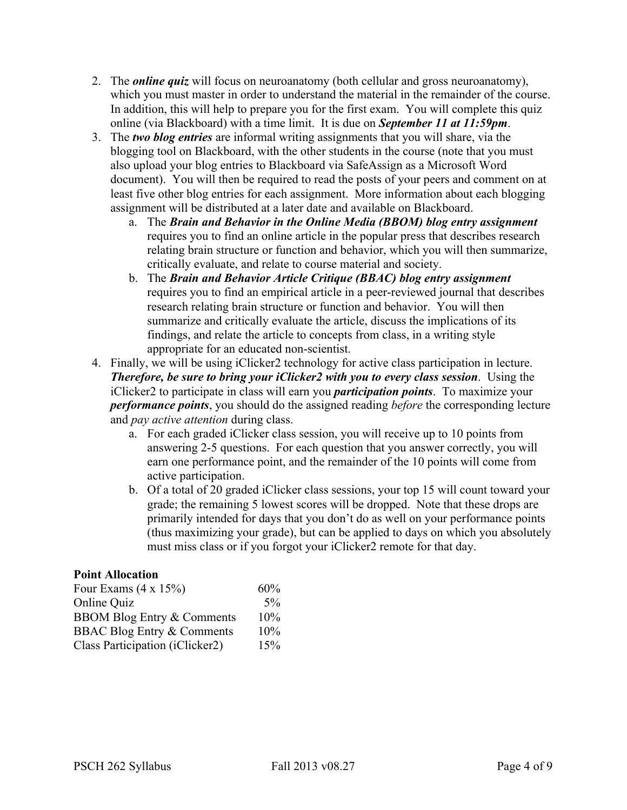- 2. The *online quiz* will focus on neuroanatomy (both cellular and gross neuroanatomy), which you must master in order to understand the material in the remainder of the course. In addition, this will help to prepare you for the first exam. You will complete this quiz online (via Blackboard) with a time limit. It is due on *September 11 at 11:59pm*.
- 3. The *two blog entries* are informal writing assignments that you will share, via the blogging tool on Blackboard, with the other students in the course (note that you must also upload your blog entries to Blackboard via SafeAssign as a Microsoft Word document). You will then be required to read the posts of your peers and comment on at least five other blog entries for each assignment. More information about each blogging assignment will be distributed at a later date and available on Blackboard.
	- a. The *Brain and Behavior in the Online Media (BBOM) blog entry assignment* requires you to find an online article in the popular press that describes research relating brain structure or function and behavior, which you will then summarize, critically evaluate, and relate to course material and society.
	- b. The *Brain and Behavior Article Critique (BBAC) blog entry assignment* requires you to find an empirical article in a peer-reviewed journal that describes research relating brain structure or function and behavior. You will then summarize and critically evaluate the article, discuss the implications of its findings, and relate the article to concepts from class, in a writing style appropriate for an educated non-scientist.
- 4. Finally, we will be using iClicker2 technology for active class participation in lecture. *Therefore, be sure to bring your iClicker2 with you to every class session*. Using the iClicker2 to participate in class will earn you *participation points*. To maximize your *performance points*, you should do the assigned reading *before* the corresponding lecture and *pay active attention* during class.
	- a. For each graded iClicker class session, you will receive up to 10 points from answering 2-5 questions. For each question that you answer correctly, you will earn one performance point, and the remainder of the 10 points will come from active participation.
	- b. Of a total of 20 graded iClicker class sessions, your top 15 will count toward your grade; the remaining 5 lowest scores will be dropped. Note that these drops are primarily intended for days that you don't do as well on your performance points (thus maximizing your grade), but can be applied to days on which you absolutely must miss class or if you forgot your iClicker2 remote for that day.

## **Point Allocation**

| Four Exams $(4 \times 15\%)$          | 60%   |
|---------------------------------------|-------|
| Online Quiz                           | $5\%$ |
| <b>BBOM Blog Entry &amp; Comments</b> | 10%   |
| <b>BBAC Blog Entry &amp; Comments</b> | 10%   |
| Class Participation (iClicker2)       | 15%   |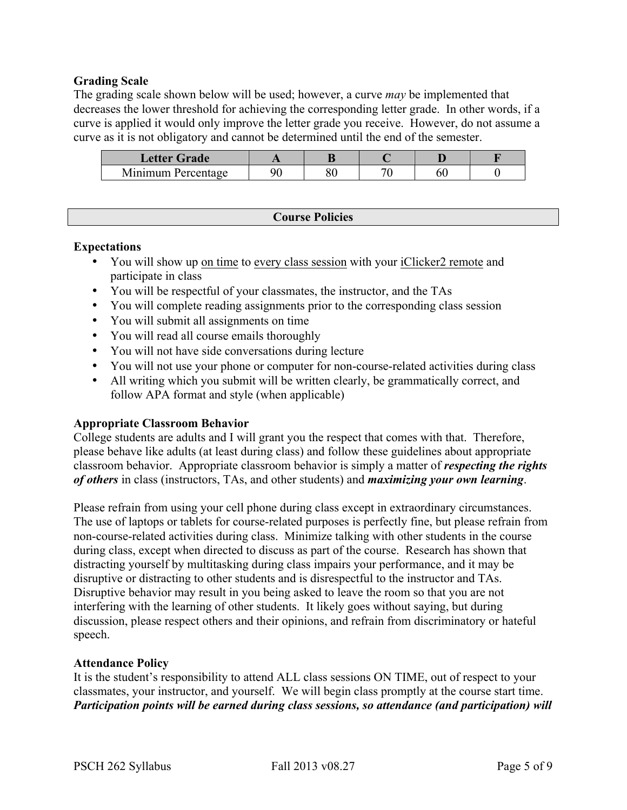## **Grading Scale**

The grading scale shown below will be used; however, a curve *may* be implemented that decreases the lower threshold for achieving the corresponding letter grade. In other words, if a curve is applied it would only improve the letter grade you receive. However, do not assume a curve as it is not obligatory and cannot be determined until the end of the semester.

| Letter Grade       |  |    |   |  |
|--------------------|--|----|---|--|
| Minimum Percentage |  | 71 | м |  |

## **Course Policies**

#### **Expectations**

- You will show up on time to every class session with your iClicker2 remote and participate in class
- You will be respectful of your classmates, the instructor, and the TAs
- You will complete reading assignments prior to the corresponding class session
- You will submit all assignments on time
- You will read all course emails thoroughly
- You will not have side conversations during lecture
- You will not use your phone or computer for non-course-related activities during class
- All writing which you submit will be written clearly, be grammatically correct, and follow APA format and style (when applicable)

## **Appropriate Classroom Behavior**

College students are adults and I will grant you the respect that comes with that. Therefore, please behave like adults (at least during class) and follow these guidelines about appropriate classroom behavior. Appropriate classroom behavior is simply a matter of *respecting the rights of others* in class (instructors, TAs, and other students) and *maximizing your own learning*.

Please refrain from using your cell phone during class except in extraordinary circumstances. The use of laptops or tablets for course-related purposes is perfectly fine, but please refrain from non-course-related activities during class. Minimize talking with other students in the course during class, except when directed to discuss as part of the course. Research has shown that distracting yourself by multitasking during class impairs your performance, and it may be disruptive or distracting to other students and is disrespectful to the instructor and TAs. Disruptive behavior may result in you being asked to leave the room so that you are not interfering with the learning of other students. It likely goes without saying, but during discussion, please respect others and their opinions, and refrain from discriminatory or hateful speech.

## **Attendance Policy**

It is the student's responsibility to attend ALL class sessions ON TIME, out of respect to your classmates, your instructor, and yourself. We will begin class promptly at the course start time. *Participation points will be earned during class sessions, so attendance (and participation) will*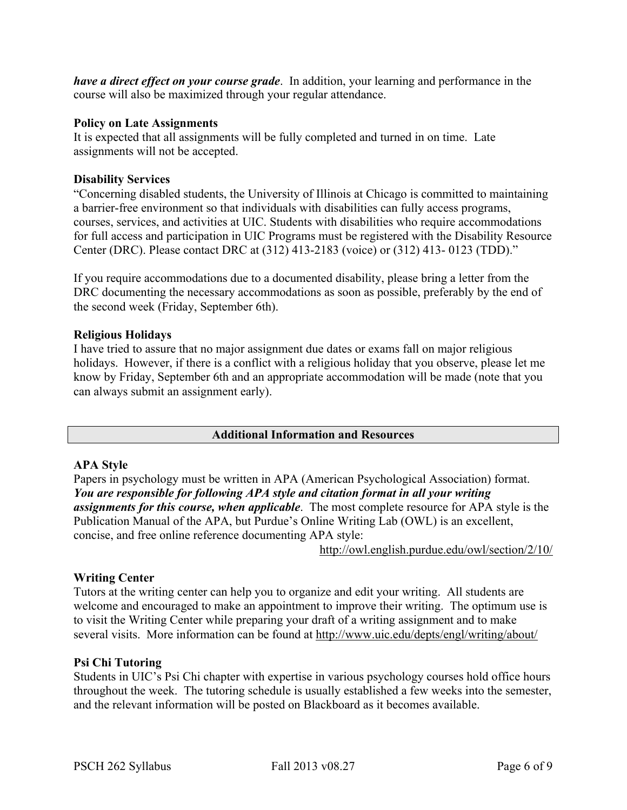*have a direct effect on your course grade*. In addition, your learning and performance in the course will also be maximized through your regular attendance.

## **Policy on Late Assignments**

It is expected that all assignments will be fully completed and turned in on time. Late assignments will not be accepted.

## **Disability Services**

"Concerning disabled students, the University of Illinois at Chicago is committed to maintaining a barrier-free environment so that individuals with disabilities can fully access programs, courses, services, and activities at UIC. Students with disabilities who require accommodations for full access and participation in UIC Programs must be registered with the Disability Resource Center (DRC). Please contact DRC at (312) 413-2183 (voice) or (312) 413- 0123 (TDD)."

If you require accommodations due to a documented disability, please bring a letter from the DRC documenting the necessary accommodations as soon as possible, preferably by the end of the second week (Friday, September 6th).

## **Religious Holidays**

I have tried to assure that no major assignment due dates or exams fall on major religious holidays. However, if there is a conflict with a religious holiday that you observe, please let me know by Friday, September 6th and an appropriate accommodation will be made (note that you can always submit an assignment early).

## **Additional Information and Resources**

## **APA Style**

Papers in psychology must be written in APA (American Psychological Association) format. *You are responsible for following APA style and citation format in all your writing assignments for this course, when applicable*. The most complete resource for APA style is the Publication Manual of the APA, but Purdue's Online Writing Lab (OWL) is an excellent, concise, and free online reference documenting APA style:

http://owl.english.purdue.edu/owl/section/2/10/

## **Writing Center**

Tutors at the writing center can help you to organize and edit your writing. All students are welcome and encouraged to make an appointment to improve their writing. The optimum use is to visit the Writing Center while preparing your draft of a writing assignment and to make several visits. More information can be found at http://www.uic.edu/depts/engl/writing/about/

## **Psi Chi Tutoring**

Students in UIC's Psi Chi chapter with expertise in various psychology courses hold office hours throughout the week. The tutoring schedule is usually established a few weeks into the semester, and the relevant information will be posted on Blackboard as it becomes available.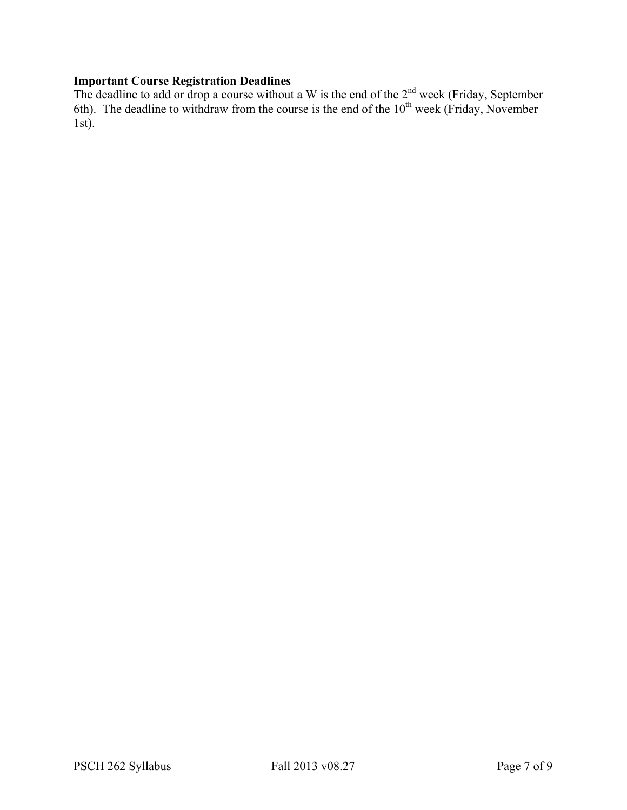## **Important Course Registration Deadlines**

The deadline to add or drop a course without a W is the end of the  $2<sup>nd</sup>$  week (Friday, September 6th). The deadline to withdraw from the course is the end of the  $10<sup>th</sup>$  week (Friday, November 1st).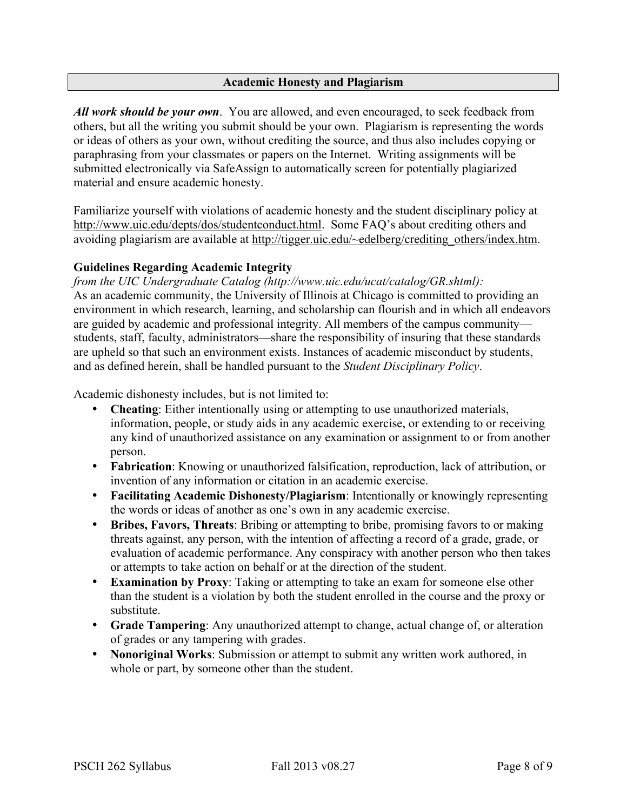## **Academic Honesty and Plagiarism**

*All work should be your own*. You are allowed, and even encouraged, to seek feedback from others, but all the writing you submit should be your own. Plagiarism is representing the words or ideas of others as your own, without crediting the source, and thus also includes copying or paraphrasing from your classmates or papers on the Internet. Writing assignments will be submitted electronically via SafeAssign to automatically screen for potentially plagiarized material and ensure academic honesty.

Familiarize yourself with violations of academic honesty and the student disciplinary policy at http://www.uic.edu/depts/dos/studentconduct.html. Some FAQ's about crediting others and avoiding plagiarism are available at http://tigger.uic.edu/~edelberg/crediting\_others/index.htm.

## **Guidelines Regarding Academic Integrity**

*from the UIC Undergraduate Catalog (http://www.uic.edu/ucat/catalog/GR.shtml):* As an academic community, the University of Illinois at Chicago is committed to providing an environment in which research, learning, and scholarship can flourish and in which all endeavors are guided by academic and professional integrity. All members of the campus community students, staff, faculty, administrators—share the responsibility of insuring that these standards are upheld so that such an environment exists. Instances of academic misconduct by students, and as defined herein, shall be handled pursuant to the *Student Disciplinary Policy*.

Academic dishonesty includes, but is not limited to:

- **Cheating:** Either intentionally using or attempting to use unauthorized materials, information, people, or study aids in any academic exercise, or extending to or receiving any kind of unauthorized assistance on any examination or assignment to or from another person.
- **Fabrication**: Knowing or unauthorized falsification, reproduction, lack of attribution, or invention of any information or citation in an academic exercise.
- **Facilitating Academic Dishonesty/Plagiarism**: Intentionally or knowingly representing the words or ideas of another as one's own in any academic exercise.
- **Bribes, Favors, Threats**: Bribing or attempting to bribe, promising favors to or making threats against, any person, with the intention of affecting a record of a grade, grade, or evaluation of academic performance. Any conspiracy with another person who then takes or attempts to take action on behalf or at the direction of the student.
- **Examination by Proxy**: Taking or attempting to take an exam for someone else other than the student is a violation by both the student enrolled in the course and the proxy or substitute.
- **Grade Tampering**: Any unauthorized attempt to change, actual change of, or alteration of grades or any tampering with grades.
- **Nonoriginal Works**: Submission or attempt to submit any written work authored, in whole or part, by someone other than the student.